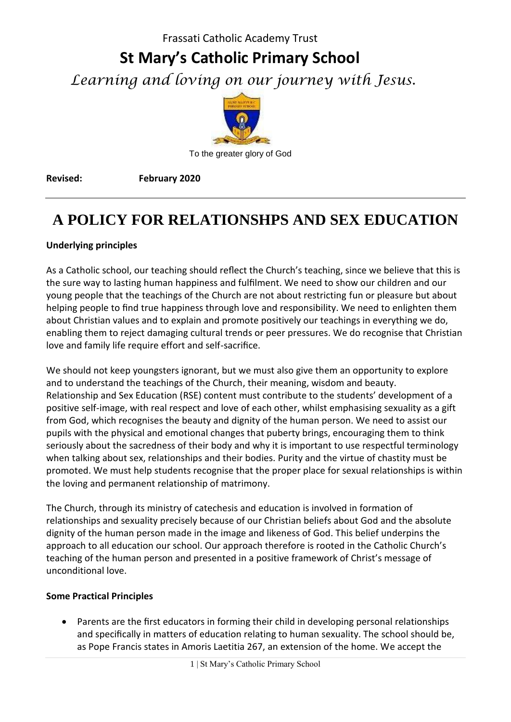Frassati Catholic Academy Trust

# **St Mary's Catholic Primary School**

*Learning and loving on our journey with Jesus.* 



**Revised: February 2020**

## **A POLICY FOR RELATIONSHPS AND SEX EDUCATION**

## **Underlying principles**

As a Catholic school, our teaching should reflect the Church's teaching, since we believe that this is the sure way to lasting human happiness and fulfilment. We need to show our children and our young people that the teachings of the Church are not about restricting fun or pleasure but about helping people to find true happiness through love and responsibility. We need to enlighten them about Christian values and to explain and promote positively our teachings in everything we do, enabling them to reject damaging cultural trends or peer pressures. We do recognise that Christian love and family life require effort and self-sacrifice.

We should not keep youngsters ignorant, but we must also give them an opportunity to explore and to understand the teachings of the Church, their meaning, wisdom and beauty. Relationship and Sex Education (RSE) content must contribute to the students' development of a positive self-image, with real respect and love of each other, whilst emphasising sexuality as a gift from God, which recognises the beauty and dignity of the human person. We need to assist our pupils with the physical and emotional changes that puberty brings, encouraging them to think seriously about the sacredness of their body and why it is important to use respectful terminology when talking about sex, relationships and their bodies. Purity and the virtue of chastity must be promoted. We must help students recognise that the proper place for sexual relationships is within the loving and permanent relationship of matrimony.

The Church, through its ministry of catechesis and education is involved in formation of relationships and sexuality precisely because of our Christian beliefs about God and the absolute dignity of the human person made in the image and likeness of God. This belief underpins the approach to all education our school. Our approach therefore is rooted in the Catholic Church's teaching of the human person and presented in a positive framework of Christ's message of unconditional love.

## **Some Practical Principles**

 Parents are the first educators in forming their child in developing personal relationships and specifically in matters of education relating to human sexuality. The school should be, as Pope Francis states in Amoris Laetitia 267, an extension of the home. We accept the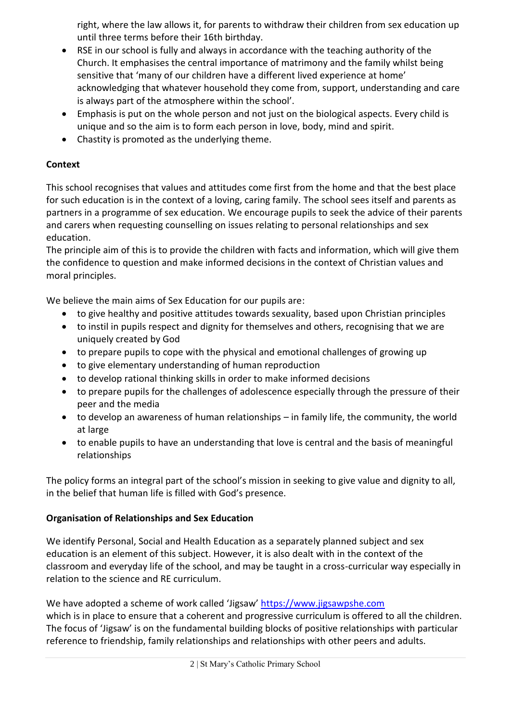right, where the law allows it, for parents to withdraw their children from sex education up until three terms before their 16th birthday.

- RSE in our school is fully and always in accordance with the teaching authority of the Church. It emphasises the central importance of matrimony and the family whilst being sensitive that 'many of our children have a different lived experience at home' acknowledging that whatever household they come from, support, understanding and care is always part of the atmosphere within the school'.
- Emphasis is put on the whole person and not just on the biological aspects. Every child is unique and so the aim is to form each person in love, body, mind and spirit.
- Chastity is promoted as the underlying theme.

## **Context**

This school recognises that values and attitudes come first from the home and that the best place for such education is in the context of a loving, caring family. The school sees itself and parents as partners in a programme of sex education. We encourage pupils to seek the advice of their parents and carers when requesting counselling on issues relating to personal relationships and sex education.

The principle aim of this is to provide the children with facts and information, which will give them the confidence to question and make informed decisions in the context of Christian values and moral principles.

We believe the main aims of Sex Education for our pupils are:

- to give healthy and positive attitudes towards sexuality, based upon Christian principles
- to instil in pupils respect and dignity for themselves and others, recognising that we are uniquely created by God
- to prepare pupils to cope with the physical and emotional challenges of growing up
- to give elementary understanding of human reproduction
- to develop rational thinking skills in order to make informed decisions
- to prepare pupils for the challenges of adolescence especially through the pressure of their peer and the media
- to develop an awareness of human relationships in family life, the community, the world at large
- to enable pupils to have an understanding that love is central and the basis of meaningful relationships

The policy forms an integral part of the school's mission in seeking to give value and dignity to all, in the belief that human life is filled with God's presence.

## **Organisation of Relationships and Sex Education**

We identify Personal, Social and Health Education as a separately planned subject and sex education is an element of this subject. However, it is also dealt with in the context of the classroom and everyday life of the school, and may be taught in a cross-curricular way especially in relation to the science and RE curriculum.

We have adopted a scheme of work called 'Jigsaw' [https://www.jigsawpshe.com](https://www.jigsawpshe.com/)  which is in place to ensure that a coherent and progressive curriculum is offered to all the children. The focus of 'Jigsaw' is on the fundamental building blocks of positive relationships with particular reference to friendship, family relationships and relationships with other peers and adults.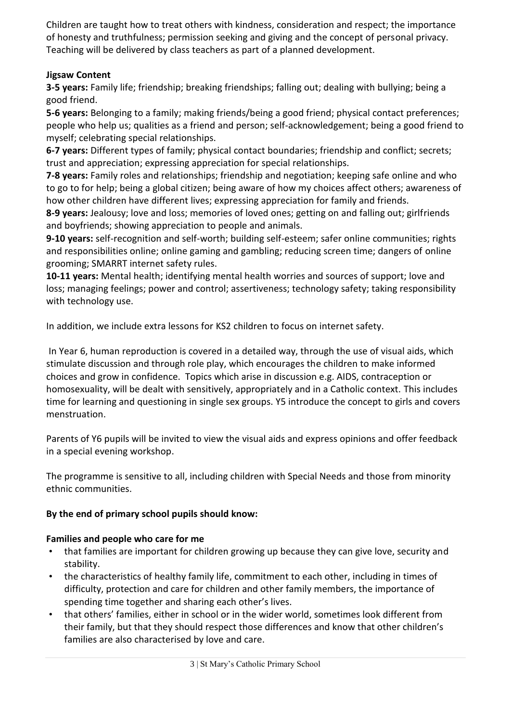Children are taught how to treat others with kindness, consideration and respect; the importance of honesty and truthfulness; permission seeking and giving and the concept of personal privacy. Teaching will be delivered by class teachers as part of a planned development.

## **Jigsaw Content**

**3-5 years:** Family life; friendship; breaking friendships; falling out; dealing with bullying; being a good friend.

**5-6 years:** Belonging to a family; making friends/being a good friend; physical contact preferences; people who help us; qualities as a friend and person; self-acknowledgement; being a good friend to myself; celebrating special relationships.

**6-7 years:** Different types of family; physical contact boundaries; friendship and conflict; secrets; trust and appreciation; expressing appreciation for special relationships.

**7-8 years:** Family roles and relationships; friendship and negotiation; keeping safe online and who to go to for help; being a global citizen; being aware of how my choices affect others; awareness of how other children have different lives; expressing appreciation for family and friends.

**8-9 years:** Jealousy; love and loss; memories of loved ones; getting on and falling out; girlfriends and boyfriends; showing appreciation to people and animals.

**9-10 years:** self-recognition and self-worth; building self-esteem; safer online communities; rights and responsibilities online; online gaming and gambling; reducing screen time; dangers of online grooming; SMARRT internet safety rules.

**10-11 years:** Mental health; identifying mental health worries and sources of support; love and loss; managing feelings; power and control; assertiveness; technology safety; taking responsibility with technology use.

In addition, we include extra lessons for KS2 children to focus on internet safety.

In Year 6, human reproduction is covered in a detailed way, through the use of visual aids, which stimulate discussion and through role play, which encourages the children to make informed choices and grow in confidence. Topics which arise in discussion e.g. AIDS, contraception or homosexuality, will be dealt with sensitively, appropriately and in a Catholic context. This includes time for learning and questioning in single sex groups. Y5 introduce the concept to girls and covers menstruation.

Parents of Y6 pupils will be invited to view the visual aids and express opinions and offer feedback in a special evening workshop.

The programme is sensitive to all, including children with Special Needs and those from minority ethnic communities.

## **By the end of primary school pupils should know:**

## **Families and people who care for me**

- that families are important for children growing up because they can give love, security and stability.
- the characteristics of healthy family life, commitment to each other, including in times of difficulty, protection and care for children and other family members, the importance of spending time together and sharing each other's lives.
- that others' families, either in school or in the wider world, sometimes look different from their family, but that they should respect those differences and know that other children's families are also characterised by love and care.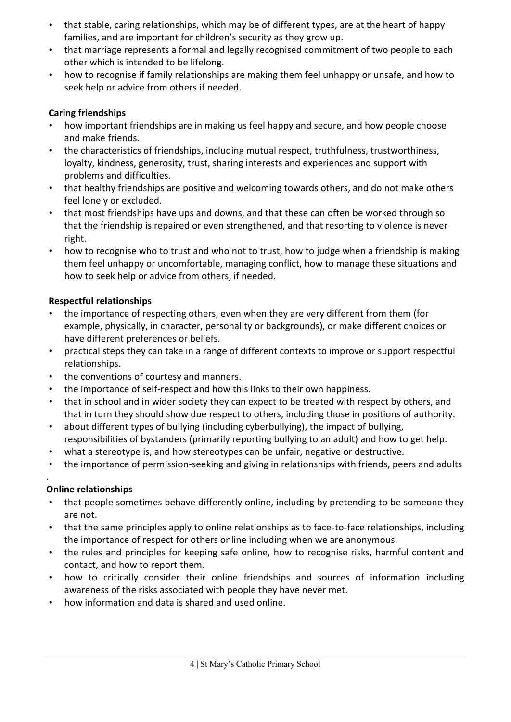- that stable, caring relationships, which may be of different types, are at the heart of happy families, and are important for children's security as they grow up.
- that marriage represents a formal and legally recognised commitment of two people to each other which is intended to be lifelong.
- how to recognise if family relationships are making them feel unhappy or unsafe, and how to seek help or advice from others if needed.

## **Caring friendships**

- how important friendships are in making us feel happy and secure, and how people choose and make friends.
- the characteristics of friendships, including mutual respect, truthfulness, trustworthiness, loyalty, kindness, generosity, trust, sharing interests and experiences and support with problems and difficulties.
- that healthy friendships are positive and welcoming towards others, and do not make others feel lonely or excluded.
- that most friendships have ups and downs, and that these can often be worked through so that the friendship is repaired or even strengthened, and that resorting to violence is never right.
- how to recognise who to trust and who not to trust, how to judge when a friendship is making them feel unhappy or uncomfortable, managing conflict, how to manage these situations and how to seek help or advice from others, if needed.

## **Respectful relationships**

- the importance of respecting others, even when they are very different from them (for example, physically, in character, personality or backgrounds), or make different choices or have different preferences or beliefs.
- practical steps they can take in a range of different contexts to improve or support respectful relationships.
- the conventions of courtesy and manners.
- the importance of self-respect and how this links to their own happiness.
- that in school and in wider society they can expect to be treated with respect by others, and that in turn they should show due respect to others, including those in positions of authority.
- about different types of bullying (including cyberbullying), the impact of bullying, responsibilities of bystanders (primarily reporting bullying to an adult) and how to get help.
- what a stereotype is, and how stereotypes can be unfair, negative or destructive.
- the importance of permission-seeking and giving in relationships with friends, peers and adults

#### **Online relationships**

.

- that people sometimes behave differently online, including by pretending to be someone they are not.
- that the same principles apply to online relationships as to face-to-face relationships, including the importance of respect for others online including when we are anonymous.
- the rules and principles for keeping safe online, how to recognise risks, harmful content and contact, and how to report them.
- how to critically consider their online friendships and sources of information including awareness of the risks associated with people they have never met.
- how information and data is shared and used online.